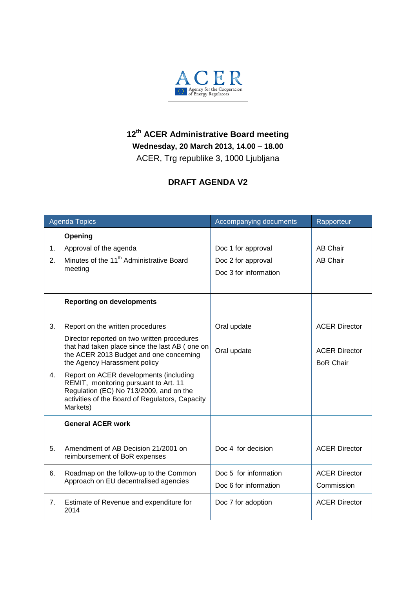

## **12 th ACER Administrative Board meeting Wednesday, 20 March 2013, 14.00 – 18.00**

ACER, Trg republike 3, 1000 Ljubljana

## **DRAFT AGENDA V2**

| <b>Agenda Topics</b> |                                                                                                                                                                          | Accompanying documents | Rapporteur           |
|----------------------|--------------------------------------------------------------------------------------------------------------------------------------------------------------------------|------------------------|----------------------|
|                      | Opening                                                                                                                                                                  |                        |                      |
| 1.                   | Approval of the agenda                                                                                                                                                   | Doc 1 for approval     | <b>AB Chair</b>      |
| 2.                   | Minutes of the 11 <sup>th</sup> Administrative Board<br>meeting                                                                                                          | Doc 2 for approval     | <b>AB Chair</b>      |
|                      |                                                                                                                                                                          | Doc 3 for information  |                      |
|                      |                                                                                                                                                                          |                        |                      |
|                      | <b>Reporting on developments</b>                                                                                                                                         |                        |                      |
|                      |                                                                                                                                                                          |                        |                      |
| 3.                   | Report on the written procedures                                                                                                                                         | Oral update            | <b>ACER Director</b> |
|                      | Director reported on two written procedures<br>that had taken place since the last AB (one on<br>the ACER 2013 Budget and one concerning<br>the Agency Harassment policy |                        |                      |
|                      |                                                                                                                                                                          | Oral update            | <b>ACER Director</b> |
|                      |                                                                                                                                                                          |                        | <b>BoR Chair</b>     |
| 4.                   | Report on ACER developments (including<br>REMIT, monitoring pursuant to Art. 11<br>Regulation (EC) No 713/2009, and on the                                               |                        |                      |
|                      | activities of the Board of Regulators, Capacity<br>Markets)                                                                                                              |                        |                      |
|                      | <b>General ACER work</b>                                                                                                                                                 |                        |                      |
|                      |                                                                                                                                                                          |                        |                      |
| 5.                   | Amendment of AB Decision 21/2001 on<br>reimbursement of BoR expenses                                                                                                     | Doc 4 for decision     | <b>ACER Director</b> |
| 6.                   | Roadmap on the follow-up to the Common<br>Approach on EU decentralised agencies                                                                                          | Doc 5 for information  | <b>ACER Director</b> |
|                      |                                                                                                                                                                          | Doc 6 for information  | Commission           |
| 7 <sub>1</sub>       | Estimate of Revenue and expenditure for<br>2014                                                                                                                          | Doc 7 for adoption     | <b>ACER Director</b> |